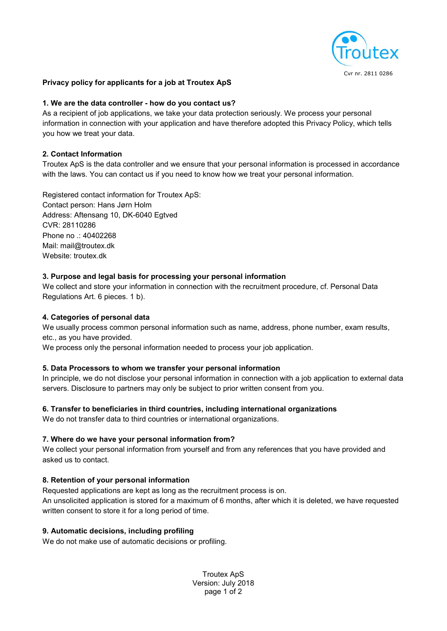

## Privacy policy for applicants for a job at Troutex ApS

#### 1. We are the data controller - how do you contact us?

As a recipient of job applications, we take your data protection seriously. We process your personal information in connection with your application and have therefore adopted this Privacy Policy, which tells you how we treat your data.

#### 2. Contact Information

Troutex ApS is the data controller and we ensure that your personal information is processed in accordance with the laws. You can contact us if you need to know how we treat your personal information.

Registered contact information for Troutex ApS: Contact person: Hans Jørn Holm Address: Aftensang 10, DK-6040 Egtved CVR: 28110286 Phone no .: 40402268 Mail: mail@troutex.dk Website: troutex.dk

#### 3. Purpose and legal basis for processing your personal information

We collect and store your information in connection with the recruitment procedure, cf. Personal Data Regulations Art. 6 pieces. 1 b).

#### 4. Categories of personal data

We usually process common personal information such as name, address, phone number, exam results, etc., as you have provided.

We process only the personal information needed to process your job application.

### 5. Data Processors to whom we transfer your personal information

In principle, we do not disclose your personal information in connection with a job application to external data servers. Disclosure to partners may only be subject to prior written consent from you.

### 6. Transfer to beneficiaries in third countries, including international organizations

We do not transfer data to third countries or international organizations.

#### 7. Where do we have your personal information from?

We collect your personal information from yourself and from any references that you have provided and asked us to contact.

### 8. Retention of your personal information

Requested applications are kept as long as the recruitment process is on.

An unsolicited application is stored for a maximum of 6 months, after which it is deleted, we have requested written consent to store it for a long period of time.

### 9. Automatic decisions, including profiling

We do not make use of automatic decisions or profiling.

Troutex ApS Version: July 2018 page 1 of 2